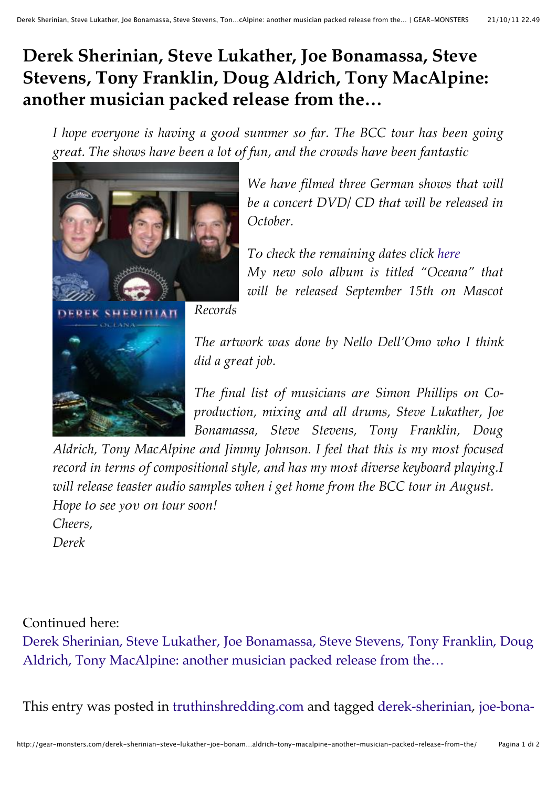## **Derek Sherinian, Steve Lukather, Joe Bonamassa, Steve Stevens, Tony Franklin, Doug Aldrich, Tony MacAlpine: another musician packed release from the…**

*I hope everyone is having a good summer so far. The BCC tour has been going* great. The shows have been a lot of fun, and the crowds have been fantastic



*We have filmed three German shows that will b\$ a concert DVD/ CD th%t w!ll b\$ released !n October.*

*T# check th\$ remaining dates click here My* new solo album is titled "Oceana" that *w!ll b\$ released September 15th #n Mascot*

*Th\$ artwork w%" done b( Nello Dell'Omo wh# I th!nk*  $d$ *id a great job.* 

*The final list of musicians are Simon Phillips on Coproduction, mixing %nd %ll drums, Steve Lukather, Joe Bonamassa, Steve Stevens, Tony Franklin, Doug*

*Aldrich, Tony MacAlpine and Jimmy Johnson. I feel that this is my most focused record in terms of compositional style, and has my most diverse keyboard playing.I will release teaster audio samples when <i>i get home from the BCC tour in August. Hope to see you on tour soon! Cheers,*

*Derek*

Continued here:

Derek Sherinian, Steve Lukather, Joe Bonamassa, Steve Stevens, Tony Franklin, Doug Aldrich, Tony MacAlpine: another musician packed release from the...

This entry was posted in truthinshredding.com and tagged derek-sherinian, joe-bona-